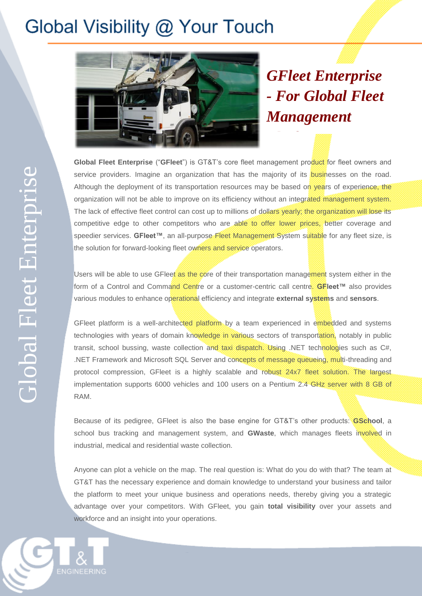## Global Visibility @ Your Touch



*GFleet Enterprise - For Global Fleet Management* 

*Platform*

**Global Fleet Enterprise** ("**GFleet**") is GT&T's core fleet management product for fleet owners and service providers. Imagine an organization that has the majority of its **businesses** on the road. Although the deployment of its transportation resources may be based on years of experience, the organization will not be able to improve on its efficiency without an integrated management system. The lack of effective fleet control can cost up to millions of dollars yearly; the organization will lose its competitive edge to other competitors who are able to offer lower prices, better coverage and speedier services. GFleet™, an all-purpose Fleet Management System suitable for any fleet size, is the solution for forward-looking fleet owners and service operators.

Users will be able to use GFleet as the core of their transportation management system either in the form of a Control and Command Centre or a customer-centric call centre. **GFleet™** also provides various modules to enhance operational efficiency and integrate **external systems** and **sensors**.

GFleet platform is a well-architected platform by a team experienced in embedded and systems technologies with years of domain knowledge in various sectors of transportation, notably in public transit, school bussing, waste collection and taxi dispatch. Using .NET technologies such as C#, .NET Framework and Microsoft SQL Server and concepts of message queueing, multi-threading and protocol compression, GFleet is a highly scalable and robust 24x7 fleet solution. The largest implementation supports 6000 vehicles and 100 users on a Pentium 2.4 GHz server with 8 GB of RAM.

Because of its pedigree, GFleet is also the base engine for GT&T's other products: **GSchool**, a school bus tracking and management system, and **GWaste**, which manages fleets involved in industrial, medical and residential waste collection.

Anyone can plot a vehicle on the map. The real question is: What do you do with that? The team at GT&T has the necessary experience and domain knowledge to understand your business and tailor the platform to meet your unique business and operations needs, thereby giving you a strategic advantage over your competitors. With GFleet, you gain **total visibility** over your assets and workforce and an insight into your operations.

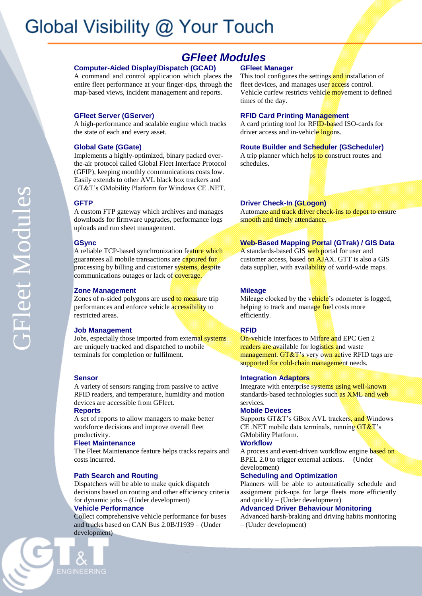# Global Visibility @ Your Touch

### *GFleet Modules*

### **Computer-Aided Display/Dispatch (GCAD)**

A command and control application which places the entire fleet performance at your finger-tips, through the map-based views, incident management and reports.

#### **GFleet Server (GServer)**

A high-performance and scalable engine which tracks the state of each and every asset.

#### **Global Gate (GGate)**

Implements a highly-optimized, binary packed overthe-air protocol called Global Fleet Interface Protocol (GFIP), keeping monthly communications costs low. Easily extends to other AVL black box trackers and GT&T's GMobility Platform for Windows CE .NET.

#### **GFTP**

A custom FTP gateway which archives and manages downloads for firmware upgrades, performance logs uploads and run sheet management.

#### **GSync**

A reliable TCP-based synchronization feature which guarantees all mobile transactions are captured for processing by billing and customer systems, despite communications outages or lack of **coverage**.

#### **Zone Management**

Zones of n-sided polygons are used to measure trip performances and enforce vehicle accessibility to restricted areas.

#### **Job Management**

Jobs, especially those imported from external systems are uniquely tracked and dispatched to mobile terminals for completion or fulfilment.

#### **Sensor**

A variety of sensors ranging from passive to active RFID readers, and temperature, humidity and motion devices are accessible from GFleet.

#### **Reports**

A set of reports to allow managers to make better workforce decisions and improve overall fleet productivity.

#### **Fleet Maintenance**

The Fleet Maintenance feature helps tracks repairs and costs incurred.

#### **Path Search and Routing**

Dispatchers will be able to make quick dispatch decisions based on routing and other efficiency criteria for dynamic jobs – (Under development)

#### **Vehicle Performance**

Collect comprehensive vehicle performance for buses and trucks based on CAN Bus 2.0B/J1939 – (Under development)

#### **GFleet Manager**

This tool configures the settings and installation of fleet devices, and manages user access control. Vehicle curfew restricts vehicle movement to defined times of the day.

#### **RFID Card Printing Management**

A card printing tool for RFID-based ISO-cards for driver access and in-vehicle logons.

#### **Route Builder and Scheduler (GScheduler)**

A trip planner which helps to construct routes and schedules.

#### **Driver Check-In (GLogon)**

Automate and track driver check-ins to depot to ensure smooth and timely attendance.

#### **Web-Based Mapping Portal (GTrak) / GIS Data**

A standards-based GIS web portal for user and customer access, based on AJAX. GTT is also a GIS data supplier, with availability of world-wide maps.

#### **Mileage**

Mileage clocked by the vehicle's odometer is logged, helping to track and manage fuel costs more efficiently.

#### **RFID**

On-vehicle interfaces to Mifare and EPC Gen 2 readers are available for logistics and waste management. GT&T's very own active RFID tags are supported for cold-chain management needs.

#### **Integration Adaptors**

Integrate with enterprise systems using well-known standards-based technologies such as XML and web services.

#### **Mobile Devices**

Supports GT&T's GBox AVL trackers, and Windows CE .NET mobile data terminals, running  $GT&T$ 's GMobility Platform.

#### **Workflow**

A process and event-driven workflow engine based on BPEL 2.0 to trigger external actions. – (Under development)

#### **Scheduling and Optimization**

Planners will be able to automatically schedule and assignment pick-ups for large fleets more efficiently and quickly – (Under development)

#### **Advanced Driver Behaviour Monitoring**

Advanced harsh-braking and driving habits monitoring – (Under development)